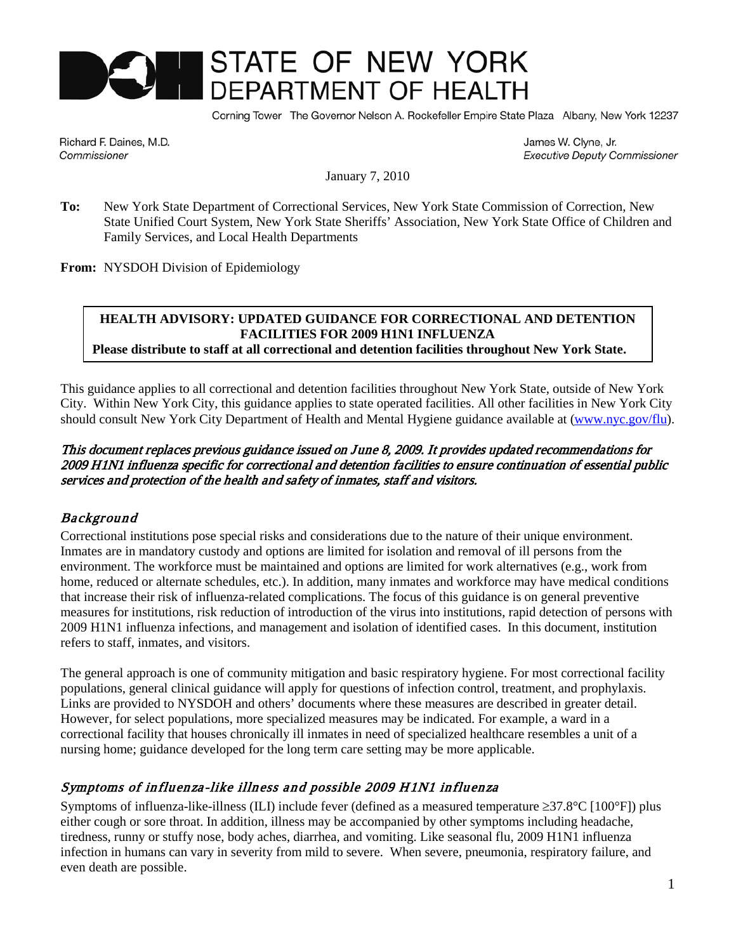# STATE OF NEW YORK

Corning Tower The Governor Nelson A. Rockefeller Empire State Plaza Albany, New York 12237

Richard F. Daines, M.D. Commissioner

James W. Clyne, Jr. **Executive Deputy Commissioner** 

January 7, 2010

**To:** New York State Department of Correctional Services, New York State Commission of Correction, New State Unified Court System, New York State Sheriffs' Association, New York State Office of Children and Family Services, and Local Health Departments

**From:** NYSDOH Division of Epidemiology

#### **HEALTH ADVISORY: UPDATED GUIDANCE FOR CORRECTIONAL AND DETENTION FACILITIES FOR 2009 H1N1 INFLUENZA** .<br>C

**Please distribute to staff at all correctional and detention facilities throughout New York State.**

This guidance applies to all correctional and detention facilities throughout New York State, outside of New York City. Within New York City, this guidance applies to state operated facilities. All other facilities in New York City should consult New York City Department of Health and Mental Hygiene guidance available at [\(www.nyc.gov/flu\)](http://www.nyc.gov/flu).

#### This document replaces previous guidance issued on June 8, 2009. It provides updated recommendations for 2009 H1N1 influenza specific for correctional and detention facilities to ensure continuation of essential public services and protection of the health and safety of inmates, staff and visitors.

#### Background

Correctional institutions pose special risks and considerations due to the nature of their unique environment. Inmates are in mandatory custody and options are limited for isolation and removal of ill persons from the environment. The workforce must be maintained and options are limited for work alternatives (e.g., work from home, reduced or alternate schedules, etc.). In addition, many inmates and workforce may have medical conditions that increase their risk of influenza-related complications. The focus of this guidance is on general preventive measures for institutions, risk reduction of introduction of the virus into institutions, rapid detection of persons with 2009 H1N1 influenza infections, and management and isolation of identified cases. In this document, institution refers to staff, inmates, and visitors.

The general approach is one of community mitigation and basic respiratory hygiene. For most correctional facility populations, general clinical guidance will apply for questions of infection control, treatment, and prophylaxis. Links are provided to NYSDOH and others' documents where these measures are described in greater detail. However, for select populations, more specialized measures may be indicated. For example, a ward in a correctional facility that houses chronically ill inmates in need of specialized healthcare resembles a unit of a nursing home; guidance developed for the long term care setting may be more applicable.

### Symptoms of influenza-like illness and possible 2009 H1N1 influenza

Symptoms of influenza-like-illness (ILI) include fever (defined as a measured temperature ≥37.8°C [100°F]) plus either cough or sore throat. In addition, illness may be accompanied by other symptoms including headache, tiredness, runny or stuffy nose, body aches, diarrhea, and vomiting. Like seasonal flu, 2009 H1N1 influenza infection in humans can vary in severity from mild to severe. When severe, pneumonia, respiratory failure, and even death are possible.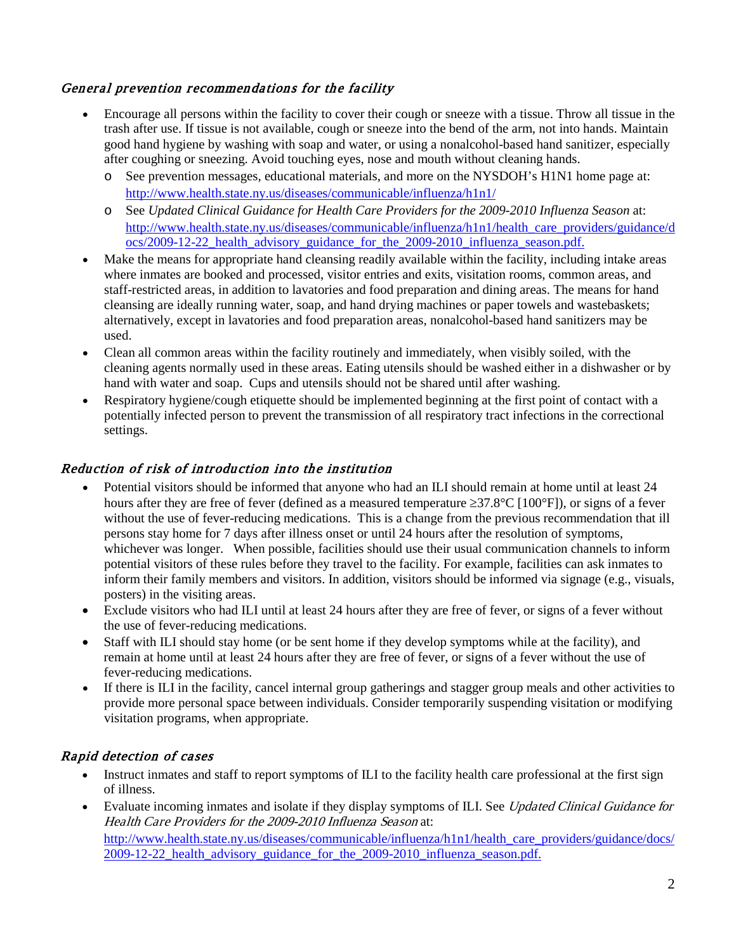## General prevention recommendations for the facility

- Encourage all persons within the facility to cover their cough or sneeze with a tissue. Throw all tissue in the trash after use. If tissue is not available, cough or sneeze into the bend of the arm, not into hands. Maintain good hand hygiene by washing with soap and water, or using a nonalcohol-based hand sanitizer, especially after coughing or sneezing. Avoid touching eyes, nose and mouth without cleaning hands.
	- o See prevention messages, educational materials, and more on the NYSDOH's H1N1 home page at: <http://www.health.state.ny.us/diseases/communicable/influenza/h1n1/>
	- o See *Updated Clinical Guidance for Health Care Providers for the 2009-2010 Influenza Season* at: http://www.health.state.ny.us/diseases/communicable/influenza/h1n1/health\_care\_providers/guidance/d ocs/2009-12-22\_health\_advisory\_guidance\_for\_the\_2009-2010\_influenza\_season.pdf.
- Make the means for appropriate hand cleansing readily available within the facility, including intake areas where inmates are booked and processed, visitor entries and exits, visitation rooms, common areas, and staff-restricted areas, in addition to lavatories and food preparation and dining areas. The means for hand cleansing are ideally running water, soap, and hand drying machines or paper towels and wastebaskets; alternatively, except in lavatories and food preparation areas, nonalcohol-based hand sanitizers may be used.
- Clean all common areas within the facility routinely and immediately, when visibly soiled, with the cleaning agents normally used in these areas. Eating utensils should be washed either in a dishwasher or by hand with water and soap. Cups and utensils should not be shared until after washing.
- Respiratory hygiene/cough etiquette should be implemented beginning at the first point of contact with a potentially infected person to prevent the transmission of all respiratory tract infections in the correctional settings.

## Reduction of risk of introduction into the institution

- Potential visitors should be informed that anyone who had an ILI should remain at home until at least 24 hours after they are free of fever (defined as a measured temperature  $\geq 37.8^{\circ}$ C [100°F]), or signs of a fever without the use of fever-reducing medications. This is a change from the previous recommendation that ill persons stay home for 7 days after illness onset or until 24 hours after the resolution of symptoms, whichever was longer. When possible, facilities should use their usual communication channels to inform potential visitors of these rules before they travel to the facility. For example, facilities can ask inmates to inform their family members and visitors. In addition, visitors should be informed via signage (e.g., visuals, posters) in the visiting areas.
- Exclude visitors who had ILI until at least 24 hours after they are free of fever, or signs of a fever without the use of fever-reducing medications.
- Staff with ILI should stay home (or be sent home if they develop symptoms while at the facility), and remain at home until at least 24 hours after they are free of fever, or signs of a fever without the use of fever-reducing medications.
- If there is ILI in the facility, cancel internal group gatherings and stagger group meals and other activities to provide more personal space between individuals. Consider temporarily suspending visitation or modifying visitation programs, when appropriate.

### Rapid detection of cases

- Instruct inmates and staff to report symptoms of ILI to the facility health care professional at the first sign of illness.
- Evaluate incoming inmates and isolate if they display symptoms of ILI. See Updated Clinical Guidance for Health Care Providers for the 2009-2010 Influenza Season at: [http://www.health.state.ny.us/diseases/communicable/influenza/h1n1/health\\_care\\_providers/guidance/docs/](http://www.health.state.ny.us/diseases/communicable/influenza/h1n1/health_care_providers/guidance/docs/2009-12-22_health_advisory_guidance_for_the_2009-2010_influenza_season.pdf) 2009-12-22 health advisory guidance for the 2009-2010 influenza season.pdf.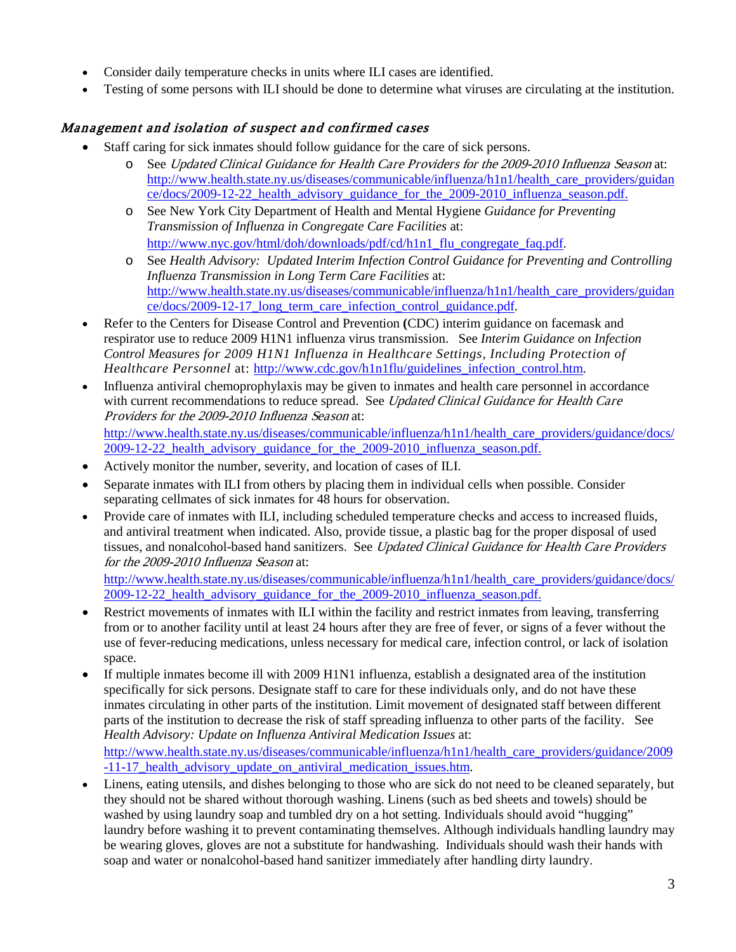- Consider daily temperature checks in units where ILI cases are identified.
- Testing of some persons with ILI should be done to determine what viruses are circulating at the institution.

#### Management and isolation of suspect and confirmed cases

- Staff caring for sick inmates should follow [guidance for the care of sick persons.](http://www.cdc.gov/h1n1flu/guidelines_infection_control.htm)
	- o See Updated Clinical Guidance for Health Care Providers for the 2009-2010 Influenza Season at: [http://www.health.state.ny.us/diseases/communicable/influenza/h1n1/health\\_care\\_providers/guidan](http://www.health.state.ny.us/diseases/communicable/influenza/h1n1/health_care_providers/guidance/docs/2009-12-22_health_advisory_guidance_for_the_2009-2010_influenza_season.pdf) [ce/docs/2009-12-22\\_health\\_advisory\\_guidance\\_for\\_the\\_2009-2010\\_influenza\\_season.pdf.](http://www.health.state.ny.us/diseases/communicable/influenza/h1n1/health_care_providers/guidance/docs/2009-12-22_health_advisory_guidance_for_the_2009-2010_influenza_season.pdf)
	- o See New York City Department of Health and Mental Hygiene *Guidance for Preventing Transmission of Influenza in Congregate Care Facilities* at: [http://www.nyc.gov/html/doh/downloads/pdf/cd/h1n1\\_flu\\_congregate\\_faq.pdf.](http://www.nyc.gov/html/doh/downloads/pdf/cd/h1n1_flu_congregate_faq.pdf)
	- o See *Health Advisory: Updated Interim Infection Control Guidance for Preventing and Controlling Influenza Transmission in Long Term Care Facilities* at: [http://www.health.state.ny.us/diseases/communicable/influenza/h1n1/health\\_care\\_providers/guidan](http://www.health.state.ny.us/diseases/communicable/influenza/h1n1/health_care_providers/guidance/docs/2009-12-17_long_term_care_infection_control_guidance.pdf) [ce/docs/2009-12-17\\_long\\_term\\_care\\_infection\\_control\\_guidance.pdf.](http://www.health.state.ny.us/diseases/communicable/influenza/h1n1/health_care_providers/guidance/docs/2009-12-17_long_term_care_infection_control_guidance.pdf)
- Refer to the Centers for Disease Control and Prevention **(**CDC) [interim guidance on facemask and](http://www.cdc.gov/h1n1flu/masks.htm)  [respirator use to reduce 2009 H1N1 influenza virus transmission.](http://www.cdc.gov/h1n1flu/masks.htm) See *Interim Guidance on Infection Control Measures for 2009 H1N1 Influenza in Healthcare Settings, Including Protection of Healthcare Personnel* at: [http://www.cdc.gov/h1n1flu/guidelines\\_infection\\_control.htm.](http://www.cdc.gov/h1n1flu/guidelines_infection_control.htm)
- Influenza antiviral chemoprophylaxis may be given to inmates and health care personnel in accordance with current recommendations to reduce spread. See Updated Clinical Guidance for Health Care Providers for the 2009-2010 Influenza Season at: [http://www.health.state.ny.us/diseases/communicable/influenza/h1n1/health\\_care\\_providers/guidance/docs/](http://www.health.state.ny.us/diseases/communicable/influenza/h1n1/health_care_providers/guidance/docs/2009-12-22_health_advisory_guidance_for_the_2009-2010_influenza_season.pdf) 2009-12-22 health advisory guidance for the 2009-2010 influenza season.pdf.
- Actively monitor the number, severity, and location of cases of ILI.
- Separate inmates with ILI from others by placing them in individual cells when possible. Consider separating cellmates of sick inmates for 48 hours for observation.
- Provide care of inmates with ILI, including scheduled temperature checks and access to increased fluids, and antiviral treatment when indicated. Also, provide tissue, a plastic bag for the proper disposal of used tissues, and nonalcohol-based hand sanitizers. See Updated Clinical Guidance for Health Care Providers for the 2009-2010 Influenza Season at:

[http://www.health.state.ny.us/diseases/communicable/influenza/h1n1/health\\_care\\_providers/guidance/docs/](http://www.health.state.ny.us/diseases/communicable/influenza/h1n1/health_care_providers/guidance/docs/2009-12-22_health_advisory_guidance_for_the_2009-2010_influenza_season.pdf) 2009-12-22 health advisory guidance for the 2009-2010 influenza season.pdf.

- Restrict movements of inmates with ILI within the facility and restrict inmates from leaving, transferring from or to another facility until at least 24 hours after they are free of fever, or signs of a fever without the use of fever-reducing medications, unless necessary for medical care, infection control, or lack of isolation space.
- If multiple inmates become ill with 2009 H1N1 influenza, establish a designated area of the institution specifically for sick persons. Designate staff to care for these individuals only, and do not have these inmates circulating in other parts of the institution. Limit movement of designated staff between different parts of the institution to decrease the risk of staff spreading influenza to other parts of the facility. See *Health Advisory: Update on Influenza Antiviral Medication Issues* at: [http://www.health.state.ny.us/diseases/communicable/influenza/h1n1/health\\_care\\_providers/guidance/2009](http://www.health.state.ny.us/diseases/communicable/influenza/h1n1/health_care_providers/guidance/2009-11-17_health_advisory_update_on_antiviral_medication_issues.htm) [-11-17\\_health\\_advisory\\_update\\_on\\_antiviral\\_medication\\_issues.htm.](http://www.health.state.ny.us/diseases/communicable/influenza/h1n1/health_care_providers/guidance/2009-11-17_health_advisory_update_on_antiviral_medication_issues.htm)
- Linens, eating utensils, and dishes belonging to those who are sick do not need to be cleaned separately, but they should not be shared without thorough washing. Linens (such as bed sheets and towels) should be washed by using laundry soap and tumbled dry on a hot setting. Individuals should avoid "hugging" laundry before washing it to prevent contaminating themselves. Although individuals handling laundry may be wearing gloves, gloves are not a substitute for handwashing. Individuals should wash their hands with soap and water or nonalcohol-based hand sanitizer immediately after handling dirty laundry.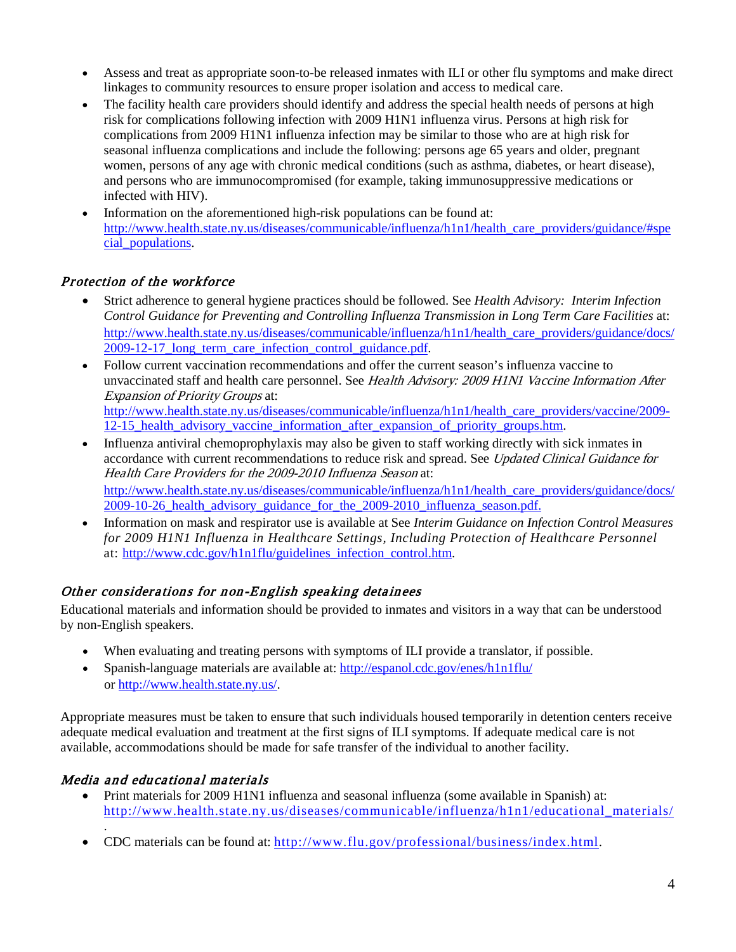- Assess and treat as appropriate soon-to-be released inmates with ILI or other flu symptoms and make direct linkages to community resources to ensure proper isolation and access to medical care.
- The facility health care providers should identify and address the special health needs of persons at high risk for complications following infection with 2009 H1N1 influenza virus. Persons at high risk for complications from 2009 H1N1 influenza infection may be similar to those who are at high risk for seasonal influenza complications and include the following: persons age 65 years and older, pregnant women, persons of any age with chronic medical conditions (such as asthma, diabetes, or heart disease), and persons who are immunocompromised (for example, taking immunosuppressive medications or infected with HIV).
- Information on the aforementioned high-risk populations can be found at: [http://www.health.state.ny.us/diseases/communicable/influenza/h1n1/health\\_care\\_providers/guidance/#spe](http://www.health.state.ny.us/diseases/communicable/influenza/h1n1/health_care_providers/guidance/#special_populations) [cial\\_populations.](http://www.health.state.ny.us/diseases/communicable/influenza/h1n1/health_care_providers/guidance/#special_populations)

### Protection of the workforce

- Strict adherence to general hygiene practices should be followed. See *Health Advisory: Interim Infection Control Guidance for Preventing and Controlling Influenza Transmission in Long Term Care Facilities* at: [http://www.health.state.ny.us/diseases/communicable/influenza/h1n1/health\\_care\\_providers/guidance/docs/](http://www.health.state.ny.us/diseases/communicable/influenza/h1n1/health_care_providers/guidance/docs/2009-12-17_long_term_care_infection_control_guidance.pdf) [2009-12-17\\_long\\_term\\_care\\_infection\\_control\\_guidance.pdf.](http://www.health.state.ny.us/diseases/communicable/influenza/h1n1/health_care_providers/guidance/docs/2009-12-17_long_term_care_infection_control_guidance.pdf)
- Follow current vaccination recommendations and offer the current season's influenza vaccine to unvaccinated staff and health care personnel. See Health Advisory: 2009 H1N1 Vaccine Information After Expansion of Priority Groups at: [http://www.health.state.ny.us/diseases/communicable/influenza/h1n1/health\\_care\\_providers/vaccine/2009-](http://www.health.state.ny.us/diseases/communicable/influenza/h1n1/health_care_providers/vaccine/2009-12-15_health_advisory_vaccine_information_after_expansion_of_priority_groups.htm) 12-15 health advisory vaccine information after expansion of priority groups.htm.
- Influenza antiviral chemoprophylaxis may also be given to staff working directly with sick inmates in accordance with current recommendations to reduce risk and spread. See Updated Clinical Guidance for Health Care Providers for the 2009-2010 Influenza Season at: [http://www.health.state.ny.us/diseases/communicable/influenza/h1n1/health\\_care\\_providers/guidance/docs/](http://www.health.state.ny.us/diseases/communicable/influenza/h1n1/health_care_providers/guidance/docs/2009-10-26_health_advisory_guidance_for_the_2009-2010_influenza_season.pdf) [2009-10-26\\_health\\_advisory\\_guidance\\_for\\_the\\_2009-2010\\_influenza\\_season.pdf.](http://www.health.state.ny.us/diseases/communicable/influenza/h1n1/health_care_providers/guidance/docs/2009-10-26_health_advisory_guidance_for_the_2009-2010_influenza_season.pdf)
- Information on mask and respirator use is available at See *Interim Guidance on Infection Control Measures for 2009 H1N1 Influenza in Healthcare Settings, Including Protection of Healthcare Personnel* at: [http://www.cdc.gov/h1n1flu/guidelines\\_infection\\_control.htm.](http://www.cdc.gov/h1n1flu/guidelines_infection_control.htm)

# Other considerations for non-English speaking detainees

Educational materials and information should be provided to inmates and visitors in a way that can be understood by non-English speakers.

- When evaluating and treating persons with symptoms of ILI provide a translator, if possible.
- Spanish-language materials are available at:<http://espanol.cdc.gov/enes/h1n1flu/> or [http://www.health.state.ny.us/.](http://www.health.state.ny.us/)

Appropriate measures must be taken to ensure that such individuals housed temporarily in detention centers receive adequate medical evaluation and treatment at the first signs of ILI symptoms. If adequate medical care is not available, accommodations should be made for safe transfer of the individual to another facility.

# Media and educational materials

- Print materials for 2009 H1N1 influenza and seasonal influenza (some available in Spanish) at: [http://www.health.state.ny.us/diseases/communicable/influenza/h1n1/educational\\_materials/](http://www.health.state.ny.us/diseases/communicable/influenza/h1n1/educational_materials/)
- . • CDC materials can be found at: [http://www.flu.gov/professional/business/index.html.](http://www.flu.gov/professional/business/index.html)